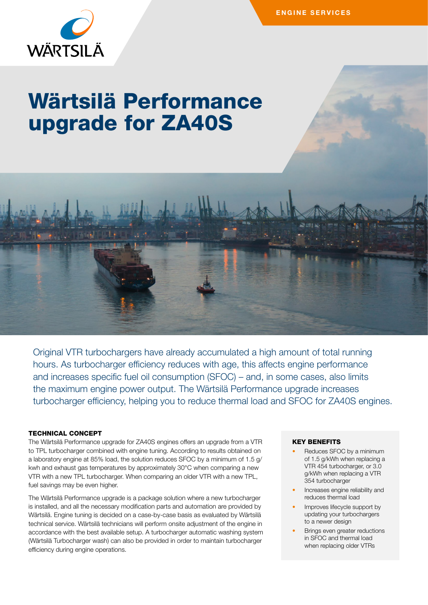

# Wärtsilä Performance upgrade for ZA40S



Original VTR turbochargers have already accumulated a high amount of total running hours. As turbocharger efficiency reduces with age, this affects engine performance and increases specific fuel oil consumption (SFOC) – and, in some cases, also limits the maximum engine power output. The Wärtsilä Performance upgrade increases turbocharger efficiency, helping you to reduce thermal load and SFOC for ZA40S engines.

# TECHNICAL CONCEPT

The Wärtsilä Performance upgrade for ZA40S engines offers an upgrade from a VTR to TPL turbocharger combined with engine tuning. According to results obtained on a laboratory engine at 85% load, the solution reduces SFOC by a minimum of 1.5 g/ kwh and exhaust gas temperatures by approximately 30°C when comparing a new VTR with a new TPL turbocharger. When comparing an older VTR with a new TPL, fuel savings may be even higher.

The Wärtsilä Performance upgrade is a package solution where a new turbocharger is installed, and all the necessary modification parts and automation are provided by Wärtsilä. Engine tuning is decided on a case-by-case basis as evaluated by Wärtsilä technical service. Wärtsilä technicians will perform onsite adjustment of the engine in accordance with the best available setup. A turbocharger automatic washing system (Wärtsilä Turbocharger wash) can also be provided in order to maintain turbocharger efficiency during engine operations.

# KEY BENEFITS

- Reduces SFOC by a minimum of 1.5 g/kWh when replacing a VTR 454 turbocharger, or 3.0 g/kWh when replacing a VTR 354 turbocharger
- Increases engine reliability and reduces thermal load
- Improves lifecycle support by updating your turbochargers to a newer design
- Brings even greater reductions in SFOC and thermal load when replacing older VTRs